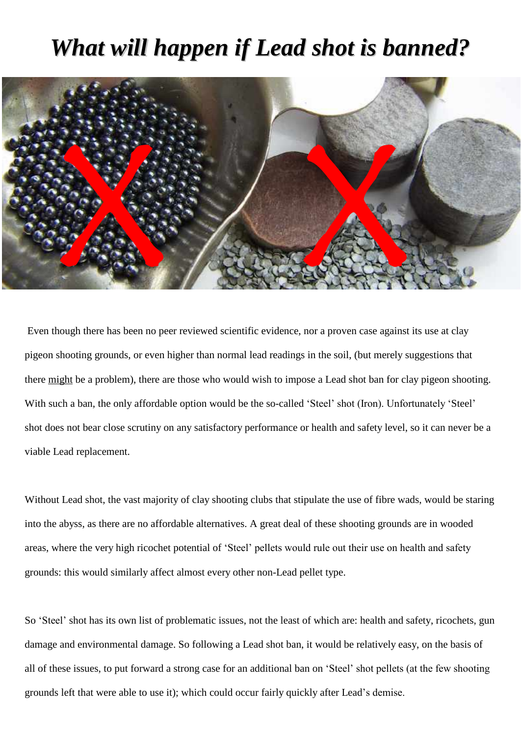## *What will happen if Lead shot is banned?*



Even though there has been no peer reviewed scientific evidence, nor a proven case against its use at clay pigeon shooting grounds, or even higher than normal lead readings in the soil, (but merely suggestions that there might be a problem), there are those who would wish to impose a Lead shot ban for clay pigeon shooting. With such a ban, the only affordable option would be the so-called 'Steel' shot (Iron). Unfortunately 'Steel' shot does not bear close scrutiny on any satisfactory performance or health and safety level, so it can never be a viable Lead replacement.

Without Lead shot, the vast majority of clay shooting clubs that stipulate the use of fibre wads, would be staring into the abyss, as there are no affordable alternatives. A great deal of these shooting grounds are in wooded areas, where the very high ricochet potential of 'Steel' pellets would rule out their use on health and safety grounds: this would similarly affect almost every other non-Lead pellet type.

So 'Steel' shot has its own list of problematic issues, not the least of which are: health and safety, ricochets, gun damage and environmental damage. So following a Lead shot ban, it would be relatively easy, on the basis of all of these issues, to put forward a strong case for an additional ban on 'Steel' shot pellets (at the few shooting grounds left that were able to use it); which could occur fairly quickly after Lead's demise.